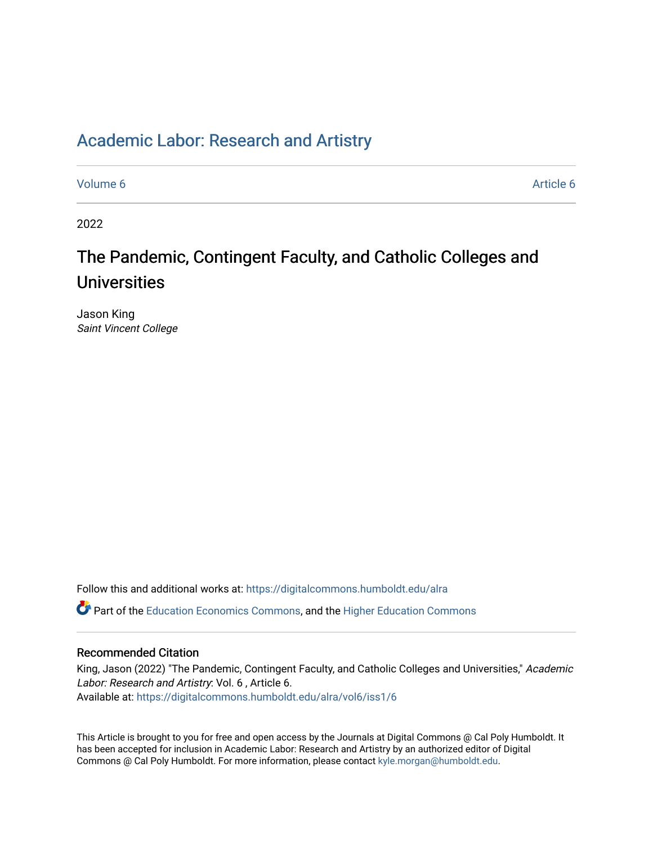## [Academic Labor: Research and Artistry](https://digitalcommons.humboldt.edu/alra)

[Volume 6](https://digitalcommons.humboldt.edu/alra/vol6) Article 6

2022

# The Pandemic, Contingent Faculty, and Catholic Colleges and Universities

Jason King Saint Vincent College

Follow this and additional works at: [https://digitalcommons.humboldt.edu/alra](https://digitalcommons.humboldt.edu/alra?utm_source=digitalcommons.humboldt.edu%2Falra%2Fvol6%2Fiss1%2F6&utm_medium=PDF&utm_campaign=PDFCoverPages)

Part of the [Education Economics Commons,](http://network.bepress.com/hgg/discipline/1262?utm_source=digitalcommons.humboldt.edu%2Falra%2Fvol6%2Fiss1%2F6&utm_medium=PDF&utm_campaign=PDFCoverPages) and the [Higher Education Commons](http://network.bepress.com/hgg/discipline/1245?utm_source=digitalcommons.humboldt.edu%2Falra%2Fvol6%2Fiss1%2F6&utm_medium=PDF&utm_campaign=PDFCoverPages) 

### Recommended Citation

King, Jason (2022) "The Pandemic, Contingent Faculty, and Catholic Colleges and Universities," Academic Labor: Research and Artistry: Vol. 6 , Article 6. Available at: [https://digitalcommons.humboldt.edu/alra/vol6/iss1/6](https://digitalcommons.humboldt.edu/alra/vol6/iss1/6?utm_source=digitalcommons.humboldt.edu%2Falra%2Fvol6%2Fiss1%2F6&utm_medium=PDF&utm_campaign=PDFCoverPages)

This Article is brought to you for free and open access by the Journals at Digital Commons @ Cal Poly Humboldt. It has been accepted for inclusion in Academic Labor: Research and Artistry by an authorized editor of Digital Commons @ Cal Poly Humboldt. For more information, please contact [kyle.morgan@humboldt.edu](mailto:kyle.morgan@humboldt.edu).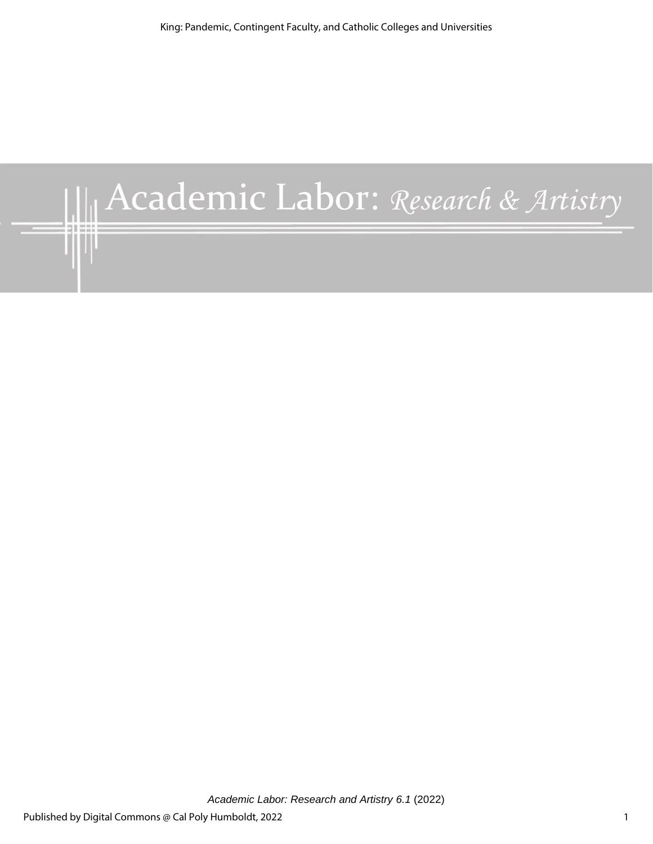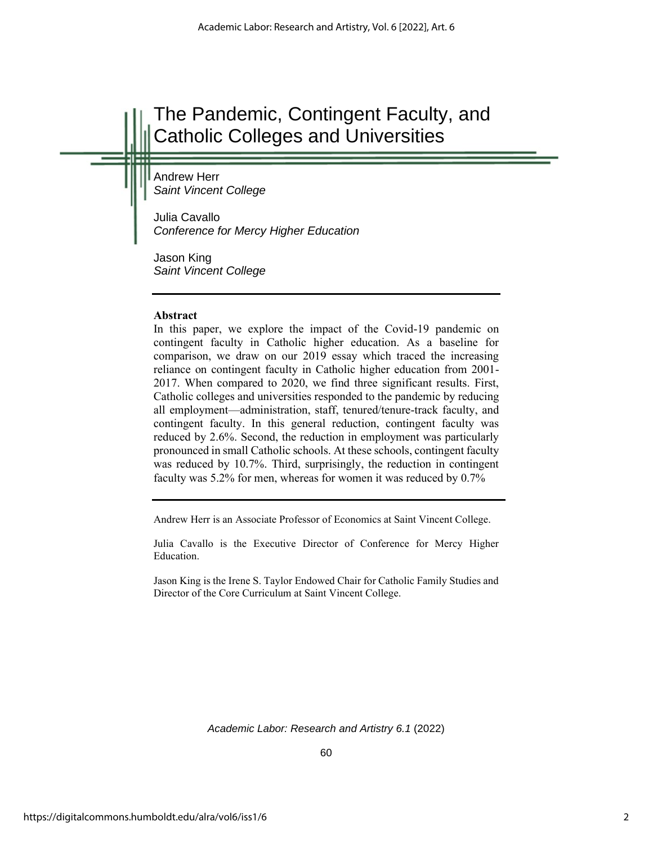# The Pandemic, Contingent Faculty, and Catholic Colleges and Universities

Andrew Herr *Saint Vincent College*

Julia Cavallo *Conference for Mercy Higher Education*

Jason King *Saint Vincent College*

#### **Abstract**

In this paper, we explore the impact of the Covid-19 pandemic on contingent faculty in Catholic higher education. As a baseline for comparison, we draw on our 2019 essay which traced the increasing reliance on contingent faculty in Catholic higher education from 2001- 2017. When compared to 2020, we find three significant results. First, Catholic colleges and universities responded to the pandemic by reducing all employment—administration, staff, tenured/tenure-track faculty, and contingent faculty. In this general reduction, contingent faculty was reduced by 2.6%. Second, the reduction in employment was particularly pronounced in small Catholic schools. At these schools, contingent faculty was reduced by 10.7%. Third, surprisingly, the reduction in contingent faculty was 5.2% for men, whereas for women it was reduced by 0.7%

Andrew Herr is an Associate Professor of Economics at Saint Vincent College.

Julia Cavallo is the Executive Director of Conference for Mercy Higher Education.

Jason King is the Irene S. Taylor Endowed Chair for Catholic Family Studies and Director of the Core Curriculum at Saint Vincent College.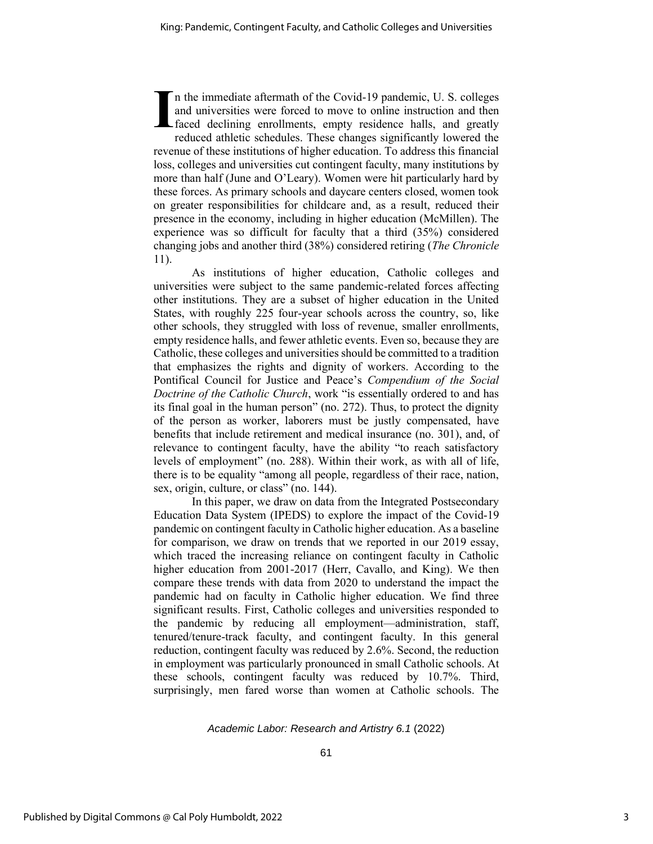n the immediate aftermath of the Covid-19 pandemic, U. S. colleges and universities were forced to move to online instruction and then faced declining enrollments, empty residence halls, and greatly reduced athletic schedules. These changes significantly lowered the revenue of these institutions of higher education. To address this financial loss, colleges and universities cut contingent faculty, many institutions by more than half (June and O'Leary). Women were hit particularly hard by these forces. As primary schools and daycare centers closed, women took on greater responsibilities for childcare and, as a result, reduced their presence in the economy, including in higher education (McMillen). The experience was so difficult for faculty that a third (35%) considered changing jobs and another third (38%) considered retiring (*The Chronicle* 11). **I**

As institutions of higher education, Catholic colleges and universities were subject to the same pandemic-related forces affecting other institutions. They are a subset of higher education in the United States, with roughly 225 four-year schools across the country, so, like other schools, they struggled with loss of revenue, smaller enrollments, empty residence halls, and fewer athletic events. Even so, because they are Catholic, these colleges and universities should be committed to a tradition that emphasizes the rights and dignity of workers. According to the Pontifical Council for Justice and Peace's *Compendium of the Social Doctrine of the Catholic Church*, work "is essentially ordered to and has its final goal in the human person" (no. 272). Thus, to protect the dignity of the person as worker, laborers must be justly compensated, have benefits that include retirement and medical insurance (no. 301), and, of relevance to contingent faculty, have the ability "to reach satisfactory levels of employment" (no. 288). Within their work, as with all of life, there is to be equality "among all people, regardless of their race, nation, sex, origin, culture, or class" (no. 144).

In this paper, we draw on data from the Integrated Postsecondary Education Data System (IPEDS) to explore the impact of the Covid-19 pandemic on contingent faculty in Catholic higher education. As a baseline for comparison, we draw on trends that we reported in our 2019 essay, which traced the increasing reliance on contingent faculty in Catholic higher education from 2001-2017 (Herr, Cavallo, and King). We then compare these trends with data from 2020 to understand the impact the pandemic had on faculty in Catholic higher education. We find three significant results. First, Catholic colleges and universities responded to the pandemic by reducing all employment—administration, staff, tenured/tenure-track faculty, and contingent faculty. In this general reduction, contingent faculty was reduced by 2.6%. Second, the reduction in employment was particularly pronounced in small Catholic schools. At these schools, contingent faculty was reduced by 10.7%. Third, surprisingly, men fared worse than women at Catholic schools. The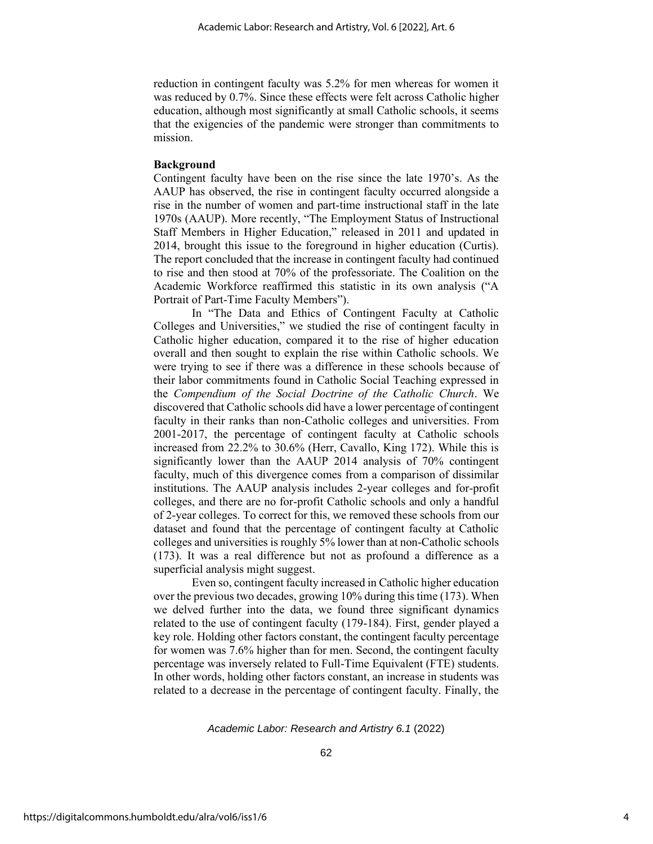reduction in contingent faculty was 5.2% for men whereas for women it was reduced by 0.7%. Since these effects were felt across Catholic higher education, although most significantly at small Catholic schools, it seems that the exigencies of the pandemic were stronger than commitments to mission.

#### **Background**

Contingent faculty have been on the rise since the late 1970's. As the AAUP has observed, the rise in contingent faculty occurred alongside a rise in the number of women and part-time instructional staff in the late 1970s (AAUP). More recently, "The Employment Status of Instructional Staff Members in Higher Education," released in 2011 and updated in 2014, brought this issue to the foreground in higher education (Curtis). The report concluded that the increase in contingent faculty had continued to rise and then stood at 70% of the professoriate. The Coalition on the Academic Workforce reaffirmed this statistic in its own analysis ("A Portrait of Part-Time Faculty Members").

In "The Data and Ethics of Contingent Faculty at Catholic Colleges and Universities," we studied the rise of contingent faculty in Catholic higher education, compared it to the rise of higher education overall and then sought to explain the rise within Catholic schools. We were trying to see if there was a difference in these schools because of their labor commitments found in Catholic Social Teaching expressed in the *Compendium of the Social Doctrine of the Catholic Church*. We discovered that Catholic schools did have a lower percentage of contingent faculty in their ranks than non-Catholic colleges and universities. From 2001-2017, the percentage of contingent faculty at Catholic schools increased from 22.2% to 30.6% (Herr, Cavallo, King 172). While this is significantly lower than the AAUP 2014 analysis of 70% contingent faculty, much of this divergence comes from a comparison of dissimilar institutions. The AAUP analysis includes 2-year colleges and for-profit colleges, and there are no for-profit Catholic schools and only a handful of 2-year colleges. To correct for this, we removed these schools from our dataset and found that the percentage of contingent faculty at Catholic colleges and universities is roughly 5% lower than at non-Catholic schools (173). It was a real difference but not as profound a difference as a superficial analysis might suggest.

Even so, contingent faculty increased in Catholic higher education over the previous two decades, growing 10% during this time (173). When we delved further into the data, we found three significant dynamics related to the use of contingent faculty (179-184). First, gender played a key role. Holding other factors constant, the contingent faculty percentage for women was 7.6% higher than for men. Second, the contingent faculty percentage was inversely related to Full-Time Equivalent (FTE) students. In other words, holding other factors constant, an increase in students was related to a decrease in the percentage of contingent faculty. Finally, the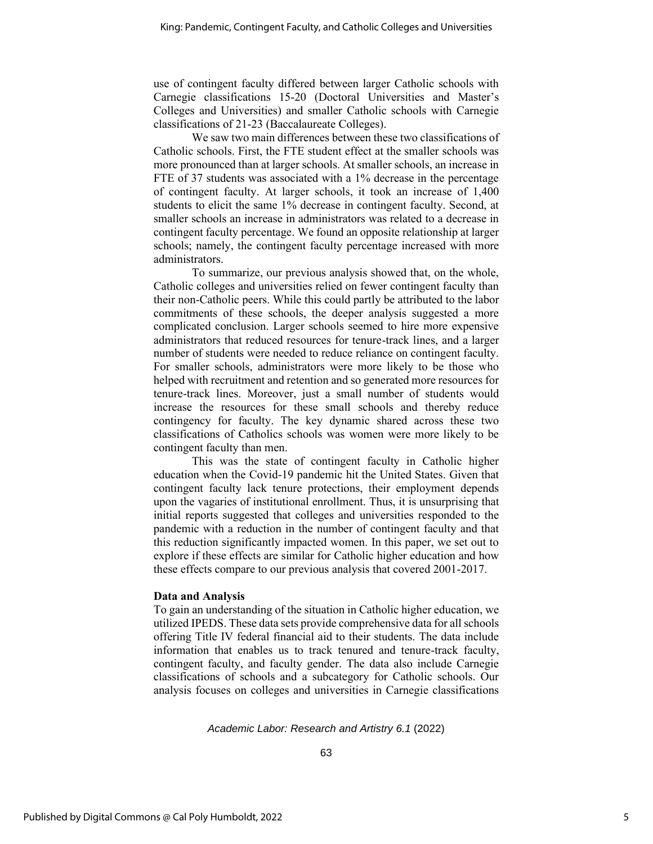use of contingent faculty differed between larger Catholic schools with Carnegie classifications 15-20 (Doctoral Universities and Master's Colleges and Universities) and smaller Catholic schools with Carnegie classifications of 21-23 (Baccalaureate Colleges).

We saw two main differences between these two classifications of Catholic schools. First, the FTE student effect at the smaller schools was more pronounced than at larger schools. At smaller schools, an increase in FTE of 37 students was associated with a 1% decrease in the percentage of contingent faculty. At larger schools, it took an increase of 1,400 students to elicit the same 1% decrease in contingent faculty. Second, at smaller schools an increase in administrators was related to a decrease in contingent faculty percentage. We found an opposite relationship at larger schools; namely, the contingent faculty percentage increased with more administrators.

To summarize, our previous analysis showed that, on the whole, Catholic colleges and universities relied on fewer contingent faculty than their non-Catholic peers. While this could partly be attributed to the labor commitments of these schools, the deeper analysis suggested a more complicated conclusion. Larger schools seemed to hire more expensive administrators that reduced resources for tenure-track lines, and a larger number of students were needed to reduce reliance on contingent faculty. For smaller schools, administrators were more likely to be those who helped with recruitment and retention and so generated more resources for tenure-track lines. Moreover, just a small number of students would increase the resources for these small schools and thereby reduce contingency for faculty. The key dynamic shared across these two classifications of Catholics schools was women were more likely to be contingent faculty than men.

This was the state of contingent faculty in Catholic higher education when the Covid-19 pandemic hit the United States. Given that contingent faculty lack tenure protections, their employment depends upon the vagaries of institutional enrollment. Thus, it is unsurprising that initial reports suggested that colleges and universities responded to the pandemic with a reduction in the number of contingent faculty and that this reduction significantly impacted women. In this paper, we set out to explore if these effects are similar for Catholic higher education and how these effects compare to our previous analysis that covered 2001-2017.

#### **Data and Analysis**

To gain an understanding of the situation in Catholic higher education, we utilized IPEDS. These data sets provide comprehensive data for all schools offering Title IV federal financial aid to their students. The data include information that enables us to track tenured and tenure-track faculty, contingent faculty, and faculty gender. The data also include Carnegie classifications of schools and a subcategory for Catholic schools. Our analysis focuses on colleges and universities in Carnegie classifications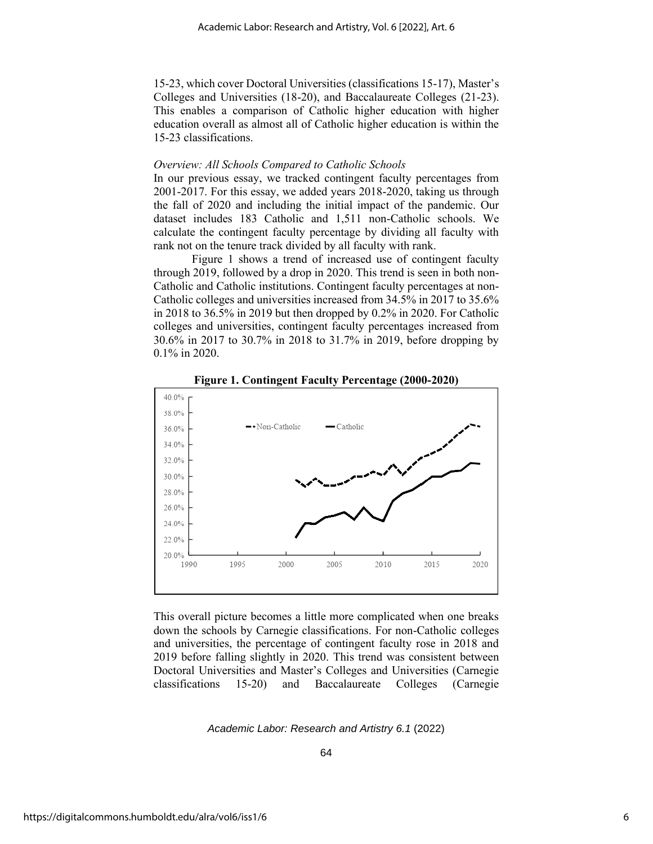15-23, which cover Doctoral Universities (classifications 15-17), Master's Colleges and Universities (18-20), and Baccalaureate Colleges (21-23). This enables a comparison of Catholic higher education with higher education overall as almost all of Catholic higher education is within the 15-23 classifications.

#### *Overview: All Schools Compared to Catholic Schools*

In our previous essay, we tracked contingent faculty percentages from 2001-2017. For this essay, we added years 2018-2020, taking us through the fall of 2020 and including the initial impact of the pandemic. Our dataset includes 183 Catholic and 1,511 non-Catholic schools. We calculate the contingent faculty percentage by dividing all faculty with rank not on the tenure track divided by all faculty with rank.

Figure 1 shows a trend of increased use of contingent faculty through 2019, followed by a drop in 2020. This trend is seen in both non-Catholic and Catholic institutions. Contingent faculty percentages at non-Catholic colleges and universities increased from 34.5% in 2017 to 35.6% in 2018 to 36.5% in 2019 but then dropped by 0.2% in 2020. For Catholic colleges and universities, contingent faculty percentages increased from 30.6% in 2017 to 30.7% in 2018 to 31.7% in 2019, before dropping by 0.1% in 2020.



**Figure 1. Contingent Faculty Percentage (2000-2020)**

This overall picture becomes a little more complicated when one breaks down the schools by Carnegie classifications. For non-Catholic colleges and universities, the percentage of contingent faculty rose in 2018 and 2019 before falling slightly in 2020. This trend was consistent between Doctoral Universities and Master's Colleges and Universities (Carnegie classifications 15-20) and Baccalaureate Colleges (Carnegie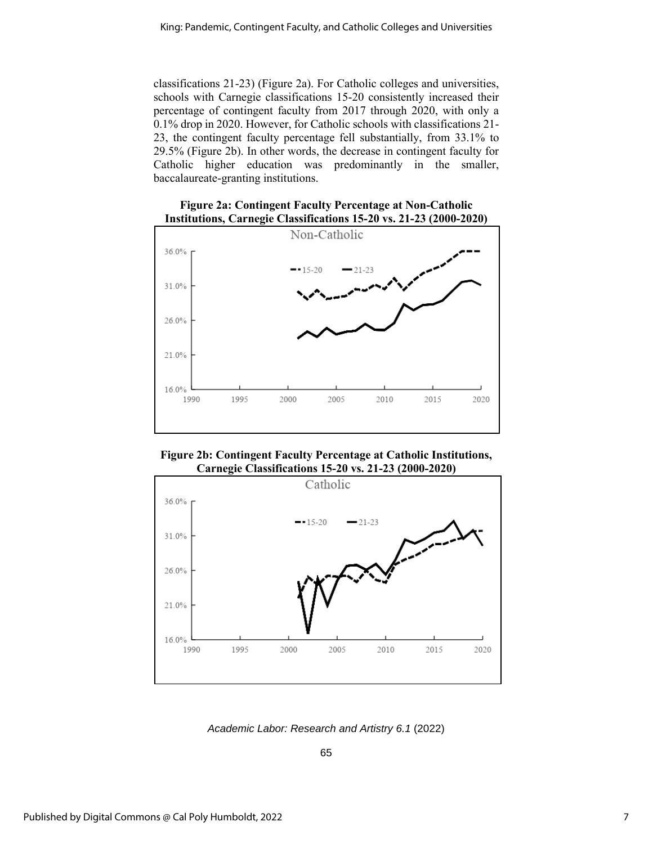classifications 21-23) (Figure 2a). For Catholic colleges and universities, schools with Carnegie classifications 15-20 consistently increased their percentage of contingent faculty from 2017 through 2020, with only a 0.1% drop in 2020. However, for Catholic schools with classifications 21- 23, the contingent faculty percentage fell substantially, from 33.1% to 29.5% (Figure 2b). In other words, the decrease in contingent faculty for Catholic higher education was predominantly in the smaller, baccalaureate-granting institutions.





**Figure 2b: Contingent Faculty Percentage at Catholic Institutions, Carnegie Classifications 15-20 vs. 21-23 (2000-2020)** 



*Academic Labor: Research and Artistry 6.1* (2022)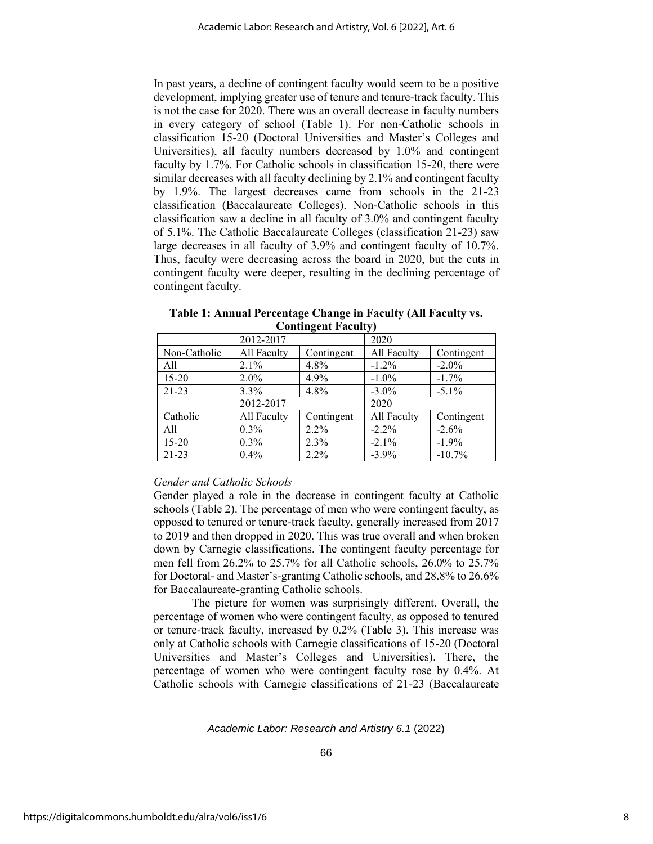In past years, a decline of contingent faculty would seem to be a positive development, implying greater use of tenure and tenure-track faculty. This is not the case for 2020. There was an overall decrease in faculty numbers in every category of school (Table 1). For non-Catholic schools in classification 15-20 (Doctoral Universities and Master's Colleges and Universities), all faculty numbers decreased by 1.0% and contingent faculty by 1.7%. For Catholic schools in classification 15-20, there were similar decreases with all faculty declining by 2.1% and contingent faculty by 1.9%. The largest decreases came from schools in the 21-23 classification (Baccalaureate Colleges). Non-Catholic schools in this classification saw a decline in all faculty of 3.0% and contingent faculty of 5.1%. The Catholic Baccalaureate Colleges (classification 21-23) saw large decreases in all faculty of 3.9% and contingent faculty of 10.7%. Thus, faculty were decreasing across the board in 2020, but the cuts in contingent faculty were deeper, resulting in the declining percentage of contingent faculty.

|              | 2012-2017   |            | 2020        |            |  |
|--------------|-------------|------------|-------------|------------|--|
| Non-Catholic | All Faculty | Contingent | All Faculty | Contingent |  |
| All          | 2.1%        | 4.8%       | $-1.2\%$    | $-2.0\%$   |  |
| $15 - 20$    | $2.0\%$     | 4.9%       | $-1.0\%$    | $-1.7%$    |  |
| $21-23$      | $3.3\%$     | 4.8%       | $-3.0\%$    | $-5.1\%$   |  |
|              | 2012-2017   |            | 2020        |            |  |
| Catholic     | All Faculty | Contingent | All Faculty | Contingent |  |
| All          | $0.3\%$     | $2.2\%$    | $-2.2\%$    | $-2.6%$    |  |
| $15 - 20$    | $0.3\%$     | 2.3%       | $-2.1\%$    | $-1.9%$    |  |
| $21 - 23$    | 0.4%        | $2.2\%$    | $-3.9\%$    | $-10.7\%$  |  |

**Table 1: Annual Percentage Change in Faculty (All Faculty vs. Contingent Faculty)**

### *Gender and Catholic Schools*

Gender played a role in the decrease in contingent faculty at Catholic schools (Table 2). The percentage of men who were contingent faculty, as opposed to tenured or tenure-track faculty, generally increased from 2017 to 2019 and then dropped in 2020. This was true overall and when broken down by Carnegie classifications. The contingent faculty percentage for men fell from 26.2% to 25.7% for all Catholic schools, 26.0% to 25.7% for Doctoral- and Master's-granting Catholic schools, and 28.8% to 26.6% for Baccalaureate-granting Catholic schools.

The picture for women was surprisingly different. Overall, the percentage of women who were contingent faculty, as opposed to tenured or tenure-track faculty, increased by 0.2% (Table 3). This increase was only at Catholic schools with Carnegie classifications of 15-20 (Doctoral Universities and Master's Colleges and Universities). There, the percentage of women who were contingent faculty rose by 0.4%. At Catholic schools with Carnegie classifications of 21-23 (Baccalaureate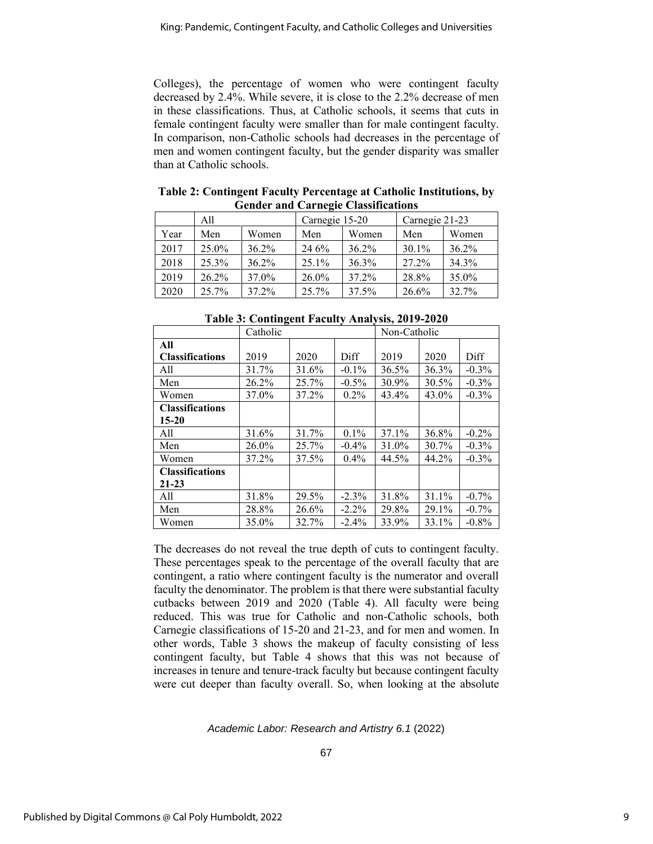Colleges), the percentage of women who were contingent faculty decreased by 2.4%. While severe, it is close to the 2.2% decrease of men in these classifications. Thus, at Catholic schools, it seems that cuts in female contingent faculty were smaller than for male contingent faculty. In comparison, non-Catholic schools had decreases in the percentage of men and women contingent faculty, but the gender disparity was smaller than at Catholic schools.

| Genuer and Carneere Chassineations |          |          |                |          |                |       |
|------------------------------------|----------|----------|----------------|----------|----------------|-------|
|                                    | A11      |          | Carnegie 15-20 |          | Carnegie 21-23 |       |
| Year                               | Men      | Women    | Men            | Women    | Men            | Women |
| 2017                               | 25.0%    | $36.2\%$ | 24 6%          | $36.2\%$ | 30.1%          | 36.2% |
| 2018                               | $25.3\%$ | $36.2\%$ | 25.1%          | 36.3%    | 27.2%          | 34.3% |
| 2019                               | $26.2\%$ | 37.0%    | 26.0%          | 37.2%    | 28.8%          | 35.0% |
| 2020                               | 25.7%    | 37.2%    | 25.7%          | 37.5%    | 26.6%          | 32.7% |

**Table 2: Contingent Faculty Percentage at Catholic Institutions, by Gender and Carnegie Classifications**

|                        | Catholic |       |          | Non-Catholic |       |          |
|------------------------|----------|-------|----------|--------------|-------|----------|
| All                    |          |       |          |              |       |          |
| <b>Classifications</b> | 2019     | 2020  | Diff     | 2019         | 2020  | Diff     |
| All                    | 31.7%    | 31.6% | $-0.1\%$ | 36.5%        | 36.3% | $-0.3\%$ |
| Men                    | 26.2%    | 25.7% | $-0.5\%$ | 30.9%        | 30.5% | $-0.3\%$ |
| Women                  | 37.0%    | 37.2% | $0.2\%$  | 43.4%        | 43.0% | $-0.3\%$ |
| <b>Classifications</b> |          |       |          |              |       |          |
| $15 - 20$              |          |       |          |              |       |          |
| All                    | 31.6%    | 31.7% | $0.1\%$  | 37.1%        | 36.8% | $-0.2\%$ |
| Men                    | 26.0%    | 25.7% | $-0.4\%$ | 31.0%        | 30.7% | $-0.3\%$ |
| Women                  | 37.2%    | 37.5% | $0.4\%$  | 44.5%        | 44.2% | $-0.3\%$ |
| <b>Classifications</b> |          |       |          |              |       |          |
| $21 - 23$              |          |       |          |              |       |          |
| All                    | 31.8%    | 29.5% | $-2.3\%$ | 31.8%        | 31.1% | $-0.7\%$ |
| Men                    | 28.8%    | 26.6% | $-2.2\%$ | 29.8%        | 29.1% | $-0.7\%$ |
| Women                  | 35.0%    | 32.7% | $-2.4%$  | 33.9%        | 33.1% | $-0.8\%$ |

**Table 3: Contingent Faculty Analysis, 2019-2020**

The decreases do not reveal the true depth of cuts to contingent faculty. These percentages speak to the percentage of the overall faculty that are contingent, a ratio where contingent faculty is the numerator and overall faculty the denominator. The problem is that there were substantial faculty cutbacks between 2019 and 2020 (Table 4). All faculty were being reduced. This was true for Catholic and non-Catholic schools, both Carnegie classifications of 15-20 and 21-23, and for men and women. In other words, Table 3 shows the makeup of faculty consisting of less contingent faculty, but Table 4 shows that this was not because of increases in tenure and tenure-track faculty but because contingent faculty were cut deeper than faculty overall. So, when looking at the absolute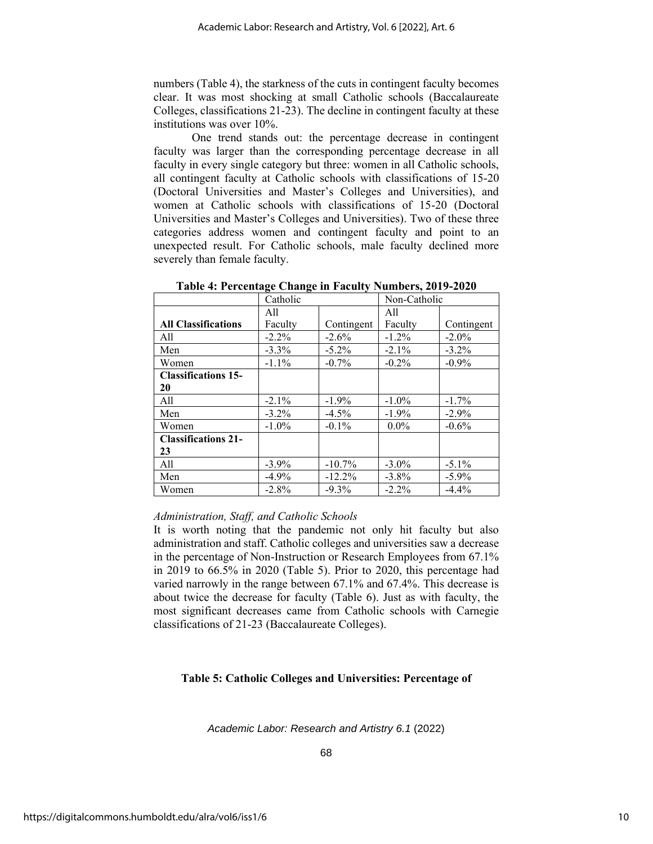numbers (Table 4), the starkness of the cuts in contingent faculty becomes clear. It was most shocking at small Catholic schools (Baccalaureate Colleges, classifications 21-23). The decline in contingent faculty at these institutions was over 10%.

One trend stands out: the percentage decrease in contingent faculty was larger than the corresponding percentage decrease in all faculty in every single category but three: women in all Catholic schools, all contingent faculty at Catholic schools with classifications of 15-20 (Doctoral Universities and Master's Colleges and Universities), and women at Catholic schools with classifications of 15-20 (Doctoral Universities and Master's Colleges and Universities). Two of these three categories address women and contingent faculty and point to an unexpected result. For Catholic schools, male faculty declined more severely than female faculty.

|                            | Catholic |            | Non-Catholic |            |
|----------------------------|----------|------------|--------------|------------|
|                            | All      |            | All          |            |
| <b>All Classifications</b> | Faculty  | Contingent | Faculty      | Contingent |
| All                        | $-2.2%$  | $-2.6\%$   | $-1.2%$      | $-2.0\%$   |
| Men                        | $-3.3\%$ | $-5.2\%$   | $-2.1\%$     | $-3.2\%$   |
| Women                      | $-1.1\%$ | $-0.7\%$   | $-0.2\%$     | $-0.9\%$   |
| <b>Classifications 15-</b> |          |            |              |            |
| 20                         |          |            |              |            |
| All                        | $-2.1\%$ | $-1.9\%$   | $-1.0\%$     | $-1.7\%$   |
| Men                        | $-3.2\%$ | $-4.5\%$   | $-1.9\%$     | $-2.9\%$   |
| Women                      | $-1.0\%$ | $-0.1\%$   | $0.0\%$      | $-0.6\%$   |
| <b>Classifications 21-</b> |          |            |              |            |
| 23                         |          |            |              |            |
| A11                        | $-3.9\%$ | $-10.7\%$  | $-3.0\%$     | $-5.1\%$   |
| Men                        | $-4.9\%$ | $-12.2%$   | $-3.8\%$     | $-5.9\%$   |
| Women                      | $-2.8\%$ | $-9.3\%$   | $-2.2\%$     | $-4.4%$    |

**Table 4: Percentage Change in Faculty Numbers, 2019-2020**

#### *Administration, Staff, and Catholic Schools*

It is worth noting that the pandemic not only hit faculty but also administration and staff. Catholic colleges and universities saw a decrease in the percentage of Non-Instruction or Research Employees from 67.1% in 2019 to 66.5% in 2020 (Table 5). Prior to 2020, this percentage had varied narrowly in the range between 67.1% and 67.4%. This decrease is about twice the decrease for faculty (Table 6). Just as with faculty, the most significant decreases came from Catholic schools with Carnegie classifications of 21-23 (Baccalaureate Colleges).

#### **Table 5: Catholic Colleges and Universities: Percentage of**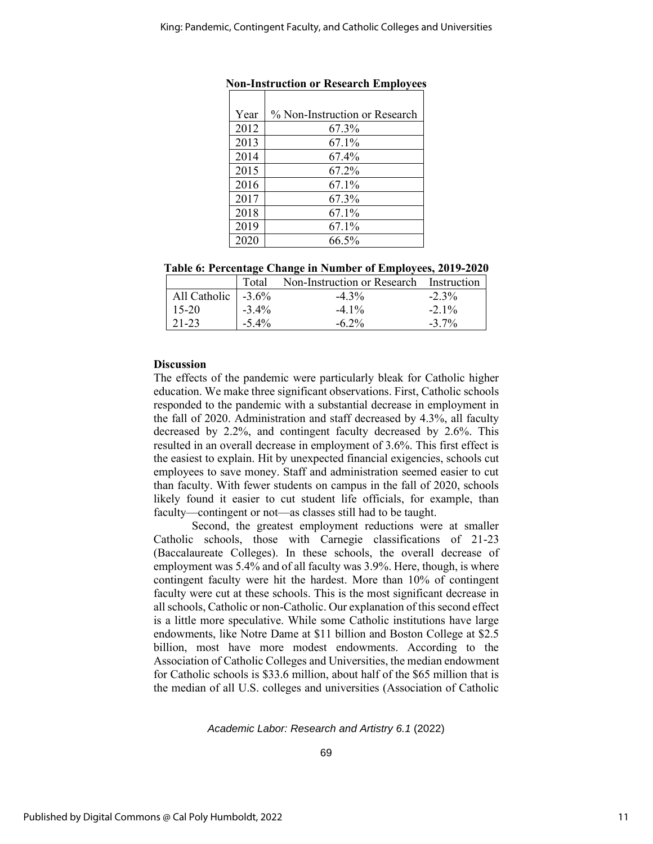| Year | % Non-Instruction or Research |
|------|-------------------------------|
| 2012 | 67.3%                         |
| 2013 | 67.1%                         |
| 2014 | 67.4%                         |
| 2015 | 67.2%                         |
| 2016 | 67.1%                         |
| 2017 | 67.3%                         |
| 2018 | 67.1%                         |
| 2019 | 67.1%                         |
| 2020 | 66.5%                         |

|  | Table 6: Percentage Change in Number of Employees, 2019-2020 |  |  |  |
|--|--------------------------------------------------------------|--|--|--|
|--|--------------------------------------------------------------|--|--|--|

|                             | Total    | Non-Instruction or Research Instruction |          |
|-----------------------------|----------|-----------------------------------------|----------|
| All Catholic $\Big  -3.6\%$ |          | $-4.3\%$                                | $-2.3\%$ |
| $15-20$                     | $-3.4\%$ | $-4.1\%$                                | $-2.1\%$ |
| $121-23$                    | $-5.4\%$ | $-6.2\%$                                | $-3.7\%$ |

#### **Discussion**

The effects of the pandemic were particularly bleak for Catholic higher education. We make three significant observations. First, Catholic schools responded to the pandemic with a substantial decrease in employment in the fall of 2020. Administration and staff decreased by 4.3%, all faculty decreased by 2.2%, and contingent faculty decreased by 2.6%. This resulted in an overall decrease in employment of 3.6%. This first effect is the easiest to explain. Hit by unexpected financial exigencies, schools cut employees to save money. Staff and administration seemed easier to cut than faculty. With fewer students on campus in the fall of 2020, schools likely found it easier to cut student life officials, for example, than faculty—contingent or not—as classes still had to be taught.

Second, the greatest employment reductions were at smaller Catholic schools, those with Carnegie classifications of 21-23 (Baccalaureate Colleges). In these schools, the overall decrease of employment was 5.4% and of all faculty was 3.9%. Here, though, is where contingent faculty were hit the hardest. More than 10% of contingent faculty were cut at these schools. This is the most significant decrease in all schools, Catholic or non-Catholic. Our explanation of this second effect is a little more speculative. While some Catholic institutions have large endowments, like Notre Dame at \$11 billion and Boston College at \$2.5 billion, most have more modest endowments. According to the Association of Catholic Colleges and Universities, the median endowment for Catholic schools is \$33.6 million, about half of the \$65 million that is the median of all U.S. colleges and universities (Association of Catholic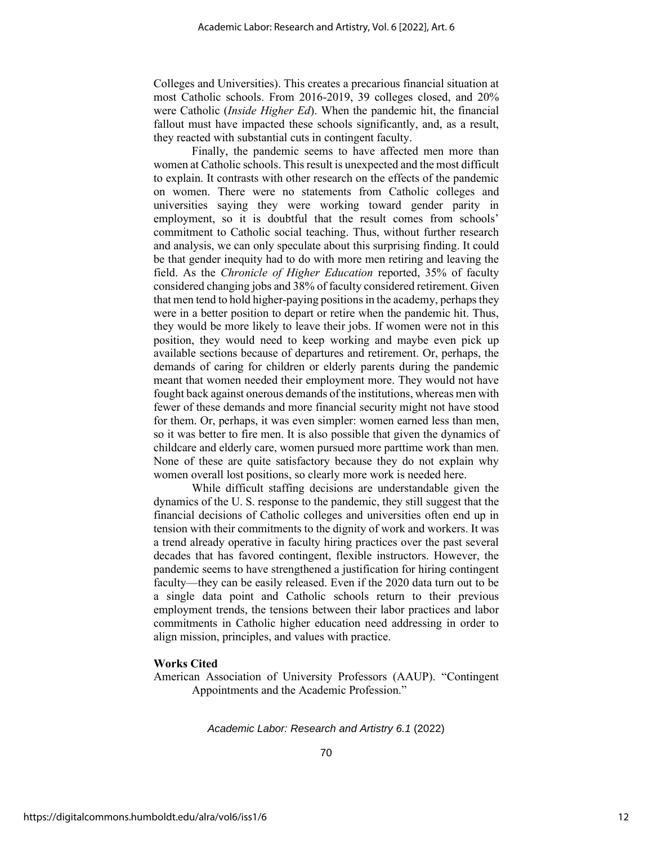Colleges and Universities). This creates a precarious financial situation at most Catholic schools. From 2016-2019, 39 colleges closed, and 20% were Catholic (*Inside Higher Ed*). When the pandemic hit, the financial fallout must have impacted these schools significantly, and, as a result, they reacted with substantial cuts in contingent faculty.

Finally, the pandemic seems to have affected men more than women at Catholic schools. This result is unexpected and the most difficult to explain. It contrasts with other research on the effects of the pandemic on women. There were no statements from Catholic colleges and universities saying they were working toward gender parity in employment, so it is doubtful that the result comes from schools' commitment to Catholic social teaching. Thus, without further research and analysis, we can only speculate about this surprising finding. It could be that gender inequity had to do with more men retiring and leaving the field. As the *Chronicle of Higher Education* reported, 35% of faculty considered changing jobs and 38% of faculty considered retirement. Given that men tend to hold higher-paying positions in the academy, perhaps they were in a better position to depart or retire when the pandemic hit. Thus, they would be more likely to leave their jobs. If women were not in this position, they would need to keep working and maybe even pick up available sections because of departures and retirement. Or, perhaps, the demands of caring for children or elderly parents during the pandemic meant that women needed their employment more. They would not have fought back against onerous demands of the institutions, whereas men with fewer of these demands and more financial security might not have stood for them. Or, perhaps, it was even simpler: women earned less than men, so it was better to fire men. It is also possible that given the dynamics of childcare and elderly care, women pursued more parttime work than men. None of these are quite satisfactory because they do not explain why women overall lost positions, so clearly more work is needed here.

While difficult staffing decisions are understandable given the dynamics of the U. S. response to the pandemic, they still suggest that the financial decisions of Catholic colleges and universities often end up in tension with their commitments to the dignity of work and workers. It was a trend already operative in faculty hiring practices over the past several decades that has favored contingent, flexible instructors. However, the pandemic seems to have strengthened a justification for hiring contingent faculty—they can be easily released. Even if the 2020 data turn out to be a single data point and Catholic schools return to their previous employment trends, the tensions between their labor practices and labor commitments in Catholic higher education need addressing in order to align mission, principles, and values with practice.

#### **Works Cited**

American Association of University Professors (AAUP). "Contingent Appointments and the Academic Profession."